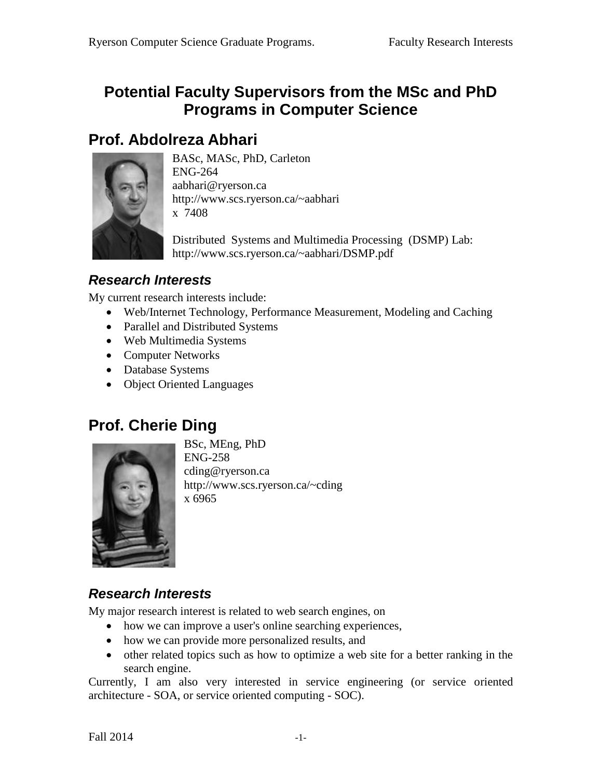### **Potential Faculty Supervisors from the MSc and PhD Programs in Computer Science**

### **Prof. Abdolreza Abhari**



BASc, MASc, PhD, Carleton ENG-264 aabhari@ryerson.ca http://www.scs.ryerson.ca/~aabhari x 7408

Distributed Systems and Multimedia Processing (DSMP) Lab: http://www.scs.ryerson.ca/~aabhari/DSMP.pdf

#### *Research Interests*

My current research interests include:

- Web/Internet Technology, Performance Measurement, Modeling and Caching
- Parallel and Distributed Systems
- Web Multimedia Systems
- Computer Networks
- Database Systems
- Object Oriented Languages

## **Prof. Cherie Ding**



BSc, MEng, PhD ENG-258 cding@ryerson.ca http://www.scs.ryerson.ca/~cding x 6965

### *Research Interests*

My major research interest is related to web search engines, on

- how we can improve a user's online searching experiences,
- how we can provide more personalized results, and
- other related topics such as how to optimize a web site for a better ranking in the search engine.

Currently, I am also very interested in service engineering (or service oriented architecture - SOA, or service oriented computing - SOC).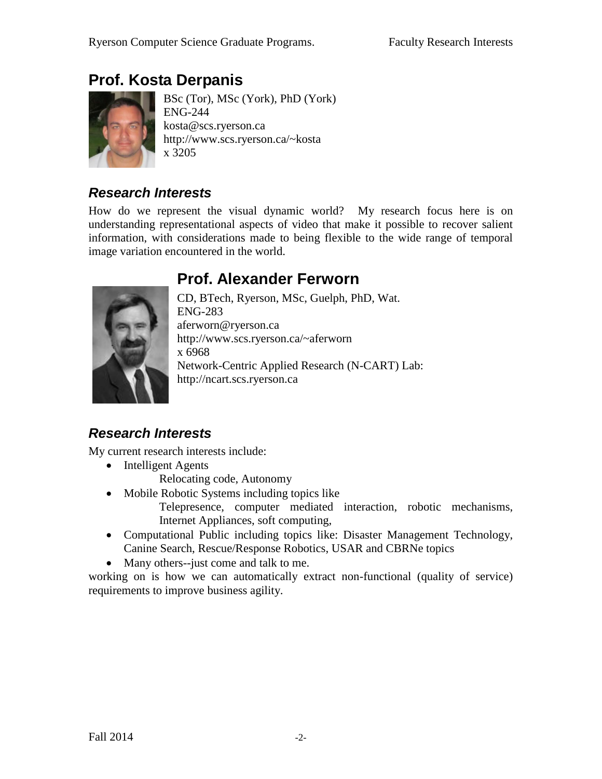# **Prof. Kosta Derpanis**



BSc (Tor), MSc (York), PhD (York) ENG-244 kosta@scs.ryerson.ca http://www.scs.ryerson.ca/~kosta x 3205

### *Research Interests*

How do we represent the visual dynamic world? My research focus here is on understanding representational aspects of video that make it possible to recover salient information, with considerations made to being flexible to the wide range of temporal image variation encountered in the world.

# **Prof. Alexander Ferworn**



CD, BTech, Ryerson, MSc, Guelph, PhD, Wat. ENG-283 aferworn@ryerson.ca http://www.scs.ryerson.ca/~aferworn x 6968 Network-Centric Applied Research (N-CART) Lab: http://ncart.scs.ryerson.ca

### *Research Interests*

My current research interests include:

- Intelligent Agents
	- Relocating code, Autonomy
- Mobile Robotic Systems including topics like

Telepresence, computer mediated interaction, robotic mechanisms, Internet Appliances, soft computing,

- Computational Public including topics like: Disaster Management Technology, Canine Search, Rescue/Response Robotics, USAR and CBRNe topics
- Many others--just come and talk to me.

working on is how we can automatically extract non-functional (quality of service) requirements to improve business agility.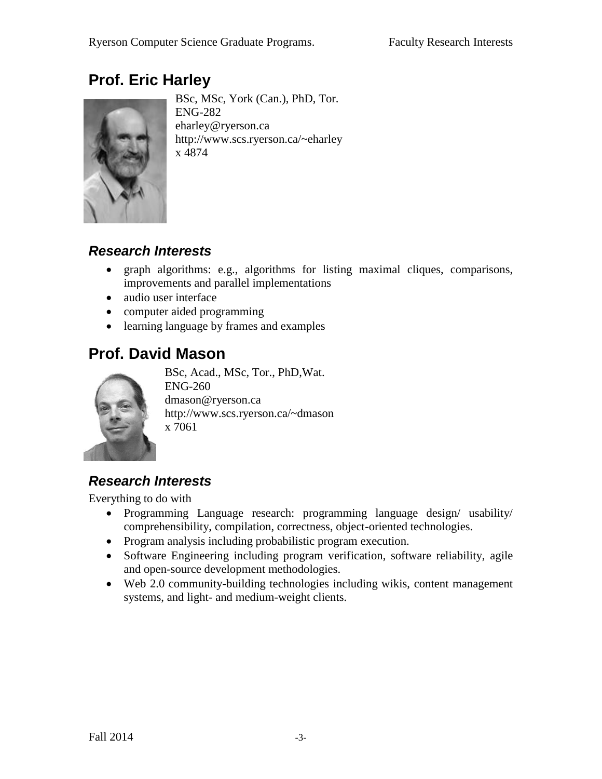# **Prof. Eric Harley**



BSc, MSc, York (Can.), PhD, Tor. ENG-282 eharley@ryerson.ca http://www.scs.ryerson.ca/~eharley x 4874

#### *Research Interests*

- graph algorithms: e.g., algorithms for listing maximal cliques, comparisons, improvements and parallel implementations
- audio user interface
- computer aided programming
- learning language by frames and examples

# **Prof. David Mason**



BSc, Acad., MSc, Tor., PhD,Wat. ENG-260 dmason@ryerson.ca http://www.scs.ryerson.ca/~dmason x 7061

### *Research Interests*

Everything to do with

- Programming Language research: programming language design/ usability/ comprehensibility, compilation, correctness, object-oriented technologies.
- Program analysis including probabilistic program execution.
- Software Engineering including program verification, software reliability, agile and open-source development methodologies.
- Web 2.0 community-building technologies including wikis, content management systems, and light- and medium-weight clients.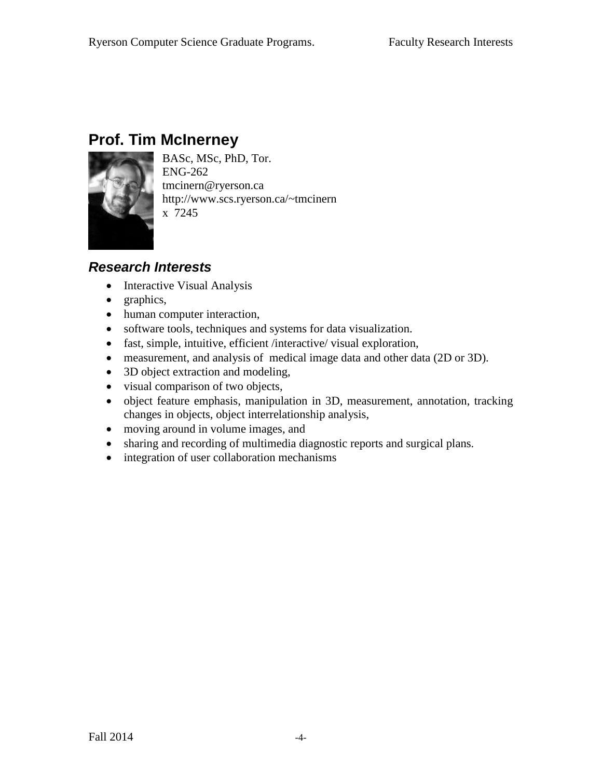# **Prof. Tim McInerney**



BASc, MSc, PhD, Tor. ENG-262 tmcinern@ryerson.ca http://www.scs.ryerson.ca/~tmcinern x 7245

- Interactive Visual Analysis
- graphics,
- human computer interaction,
- software tools, techniques and systems for data visualization.
- fast, simple, intuitive, efficient /interactive/ visual exploration,
- measurement, and analysis of medical image data and other data (2D or 3D).
- 3D object extraction and modeling,
- visual comparison of two objects,
- object feature emphasis, manipulation in 3D, measurement, annotation, tracking changes in objects, object interrelationship analysis,
- moving around in volume images, and
- sharing and recording of multimedia diagnostic reports and surgical plans.
- integration of user collaboration mechanisms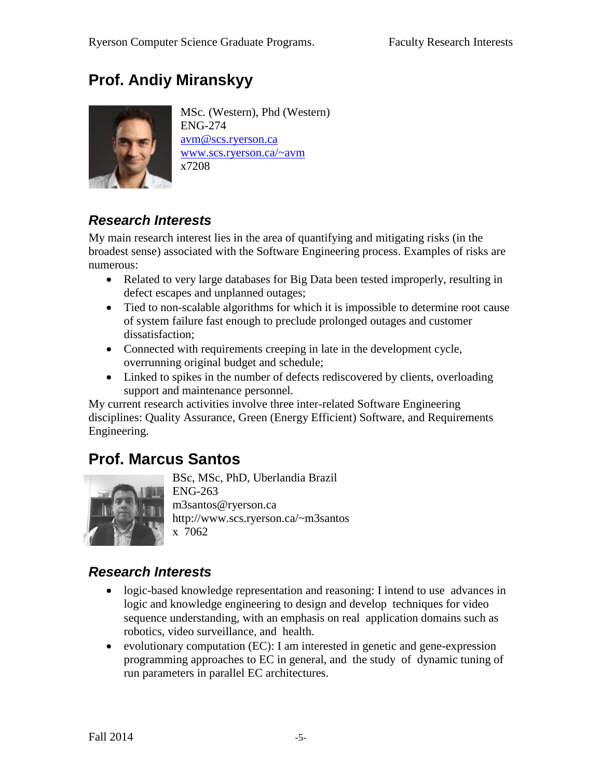# **Prof. Andiy Miranskyy**



MSc. (Western), Phd (Western) ENG-274 [avm@scs.ryerson.ca](mailto:avm@scs.ryerson.ca) [www.scs.ryerson.ca/~avm](http://www.scs.ryerson.ca/~avm) x7208

### *Research Interests*

My main research interest lies in the area of quantifying and mitigating risks (in the broadest sense) associated with the Software Engineering process. Examples of risks are numerous:

- Related to very large databases for Big Data been tested improperly, resulting in defect escapes and unplanned outages;
- Tied to non-scalable algorithms for which it is impossible to determine root cause of system failure fast enough to preclude prolonged outages and customer dissatisfaction;
- Connected with requirements creeping in late in the development cycle, overrunning original budget and schedule;
- Linked to spikes in the number of defects rediscovered by clients, overloading support and maintenance personnel.

My current research activities involve three inter-related Software Engineering disciplines: Quality Assurance, Green (Energy Efficient) Software, and Requirements Engineering.

# **Prof. Marcus Santos**



BSc, MSc, PhD, Uberlandia Brazil ENG-263 m3santos@ryerson.ca http://www.scs.ryerson.ca/~m3santos x 7062

- logic-based knowledge representation and reasoning: I intend to use advances in logic and knowledge engineering to design and develop techniques for video sequence understanding, with an emphasis on real application domains such as robotics, video surveillance, and health.
- evolutionary computation (EC): I am interested in genetic and gene-expression programming approaches to EC in general, and the study of dynamic tuning of run parameters in parallel EC architectures.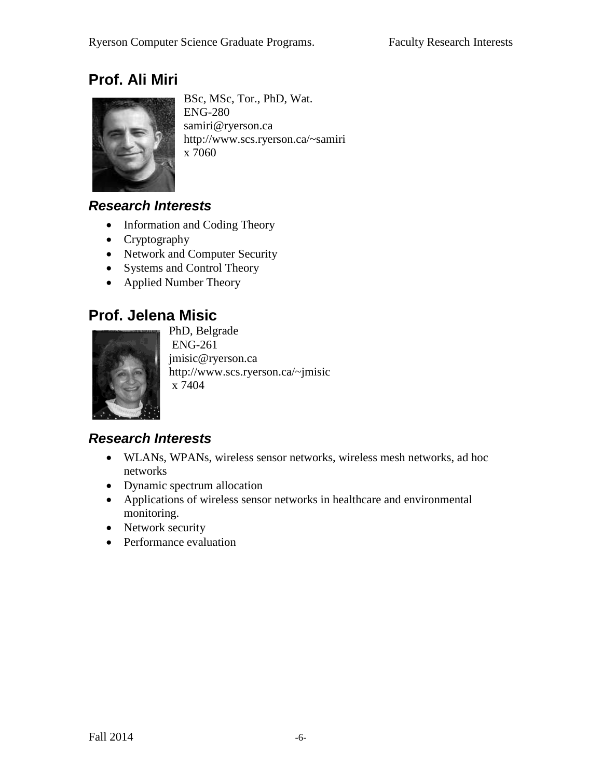# **Prof. Ali Miri**



BSc, MSc, Tor., PhD, Wat. ENG-280 [samiri@ryerson.ca](mailto:samiri@ryerson.ca) <http://www.scs.ryerson.ca/~samiri>  $x\bar{7060}$ 

#### *Research Interests*

- Information and Coding Theory
- Cryptography
- Network and Computer Security
- Systems and Control Theory
- Applied Number Theory

### **Prof. Jelena Misic**



PhD, Belgrade ENG-261 [jmisic@ryerson.ca](mailto:jmisic@ryerson.ca) <http://www.scs.ryerson.ca/~jmisic> x 7404

- WLANs, WPANs, wireless sensor networks, wireless mesh networks, ad hoc networks
- Dynamic spectrum allocation
- Applications of wireless sensor networks in healthcare and environmental monitoring.
- Network security
- Performance evaluation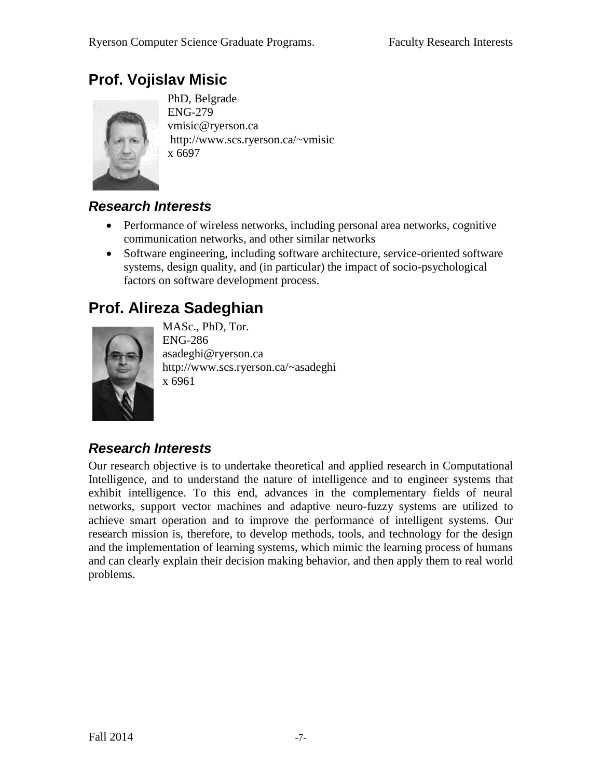## **Prof. Vojislav Misic**



PhD, Belgrade ENG-279 [vmisic@ryerson.ca](mailto:vmisic@ryerson.ca) http://www.scs.ryerson.ca/~vmisic x 6697

### *Research Interests*

- Performance of wireless networks, including personal area networks, cognitive communication networks, and other similar networks
- Software engineering, including software architecture, service-oriented software systems, design quality, and (in particular) the impact of socio-psychological factors on software development process.

# **Prof. Alireza Sadeghian**



MASc., PhD, Tor. ENG-286 asadeghi@ryerson.ca http://www.scs.ryerson.ca/~asadeghi x 6961

### *Research Interests*

Our research objective is to undertake theoretical and applied research in Computational Intelligence, and to understand the nature of intelligence and to engineer systems that exhibit intelligence. To this end, advances in the complementary fields of neural networks, support vector machines and adaptive neuro-fuzzy systems are utilized to achieve smart operation and to improve the performance of intelligent systems. Our research mission is, therefore, to develop methods, tools, and technology for the design and the implementation of learning systems, which mimic the learning process of humans and can clearly explain their decision making behavior, and then apply them to real world problems.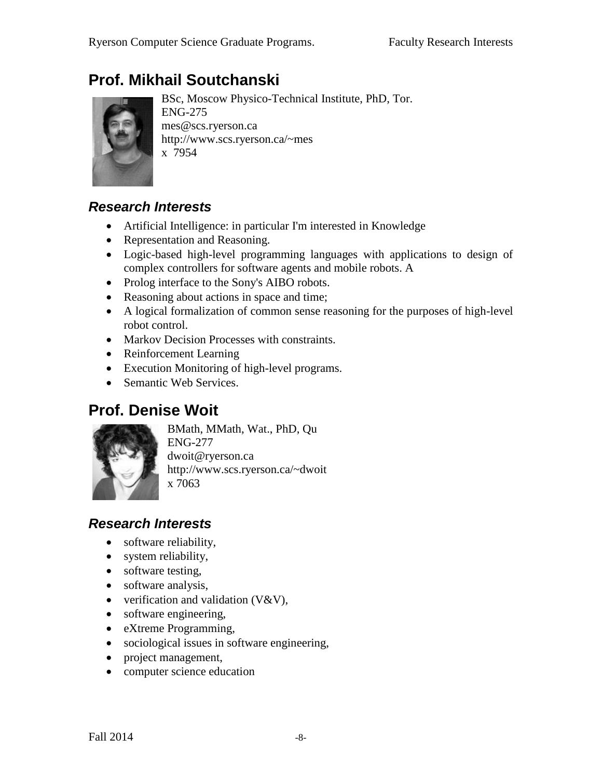# **Prof. Mikhail Soutchanski**



BSc, Moscow Physico-Technical Institute, PhD, Tor. ENG-275 mes@scs.ryerson.ca http://www.scs.ryerson.ca/~mes x 7954

#### *Research Interests*

- Artificial Intelligence: in particular I'm interested in Knowledge
- Representation and Reasoning.
- Logic-based high-level programming languages with applications to design of complex controllers for software agents and mobile robots. A
- Prolog interface to the Sony's AIBO robots.
- Reasoning about actions in space and time;
- A logical formalization of common sense reasoning for the purposes of high-level robot control.
- Markov Decision Processes with constraints.
- Reinforcement Learning
- Execution Monitoring of high-level programs.
- Semantic Web Services.

### **Prof. Denise Woit**



BMath, MMath, Wat., PhD, Qu ENG-277 dwoit@ryerson.ca http://www.scs.ryerson.ca/~dwoit x 7063

- software reliability,
- system reliability,
- software testing,
- software analysis,
- verification and validation  $(V&V)$ ,
- software engineering,
- eXtreme Programming,
- sociological issues in software engineering,
- project management,
- computer science education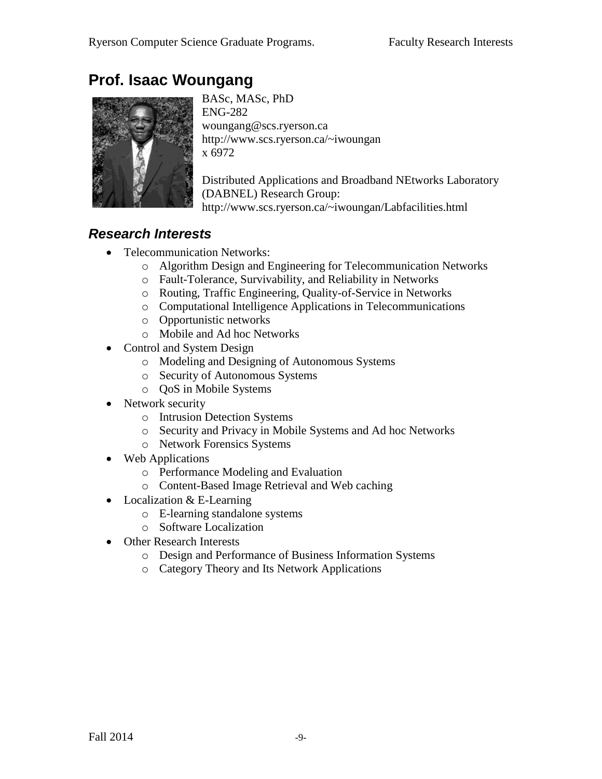# **Prof. Isaac Woungang**



BASc, MASc, PhD ENG-282 woungang@scs.ryerson.ca http://www.scs.ryerson.ca/~iwoungan x 6972

Distributed Applications and Broadband NEtworks Laboratory (DABNEL) Research Group: http://www.scs.ryerson.ca/~iwoungan/Labfacilities.html

- Telecommunication Networks:
	- o Algorithm Design and Engineering for Telecommunication Networks
	- o Fault-Tolerance, Survivability, and Reliability in Networks
	- o Routing, Traffic Engineering, Quality-of-Service in Networks
	- o Computational Intelligence Applications in Telecommunications
	- o Opportunistic networks
	- o Mobile and Ad hoc Networks
- Control and System Design
	- o Modeling and Designing of Autonomous Systems
	- o Security of Autonomous Systems
	- o QoS in Mobile Systems
- Network security
	- o Intrusion Detection Systems
	- o Security and Privacy in Mobile Systems and Ad hoc Networks
	- o Network Forensics Systems
- Web Applications
	- o Performance Modeling and Evaluation
	- o Content-Based Image Retrieval and Web caching
- Localization & E-Learning
	- o E-learning standalone systems
	- o Software Localization
- Other Research Interests
	- o Design and Performance of Business Information Systems
	- o Category Theory and Its Network Applications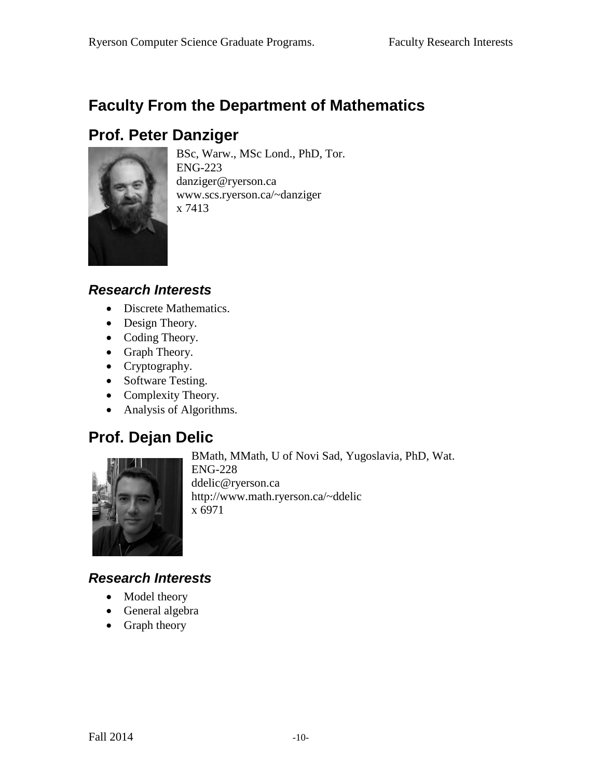# **Faculty From the Department of Mathematics**

## **Prof. Peter Danziger**



BSc, Warw., MSc Lond., PhD, Tor. ENG-223 danziger@ryerson.ca www.scs.ryerson.ca/~danziger x 7413

#### *Research Interests*

- Discrete Mathematics.
- Design Theory.
- Coding Theory.
- Graph Theory.
- Cryptography.
- Software Testing.
- Complexity Theory.
- Analysis of Algorithms.

## **Prof. Dejan Delic**



BMath, MMath, U of Novi Sad, Yugoslavia, PhD, Wat. ENG-228 ddelic@ryerson.ca

http://www.math.ryerson.ca/~ddelic x 6971

- Model theory
- General algebra
- Graph theory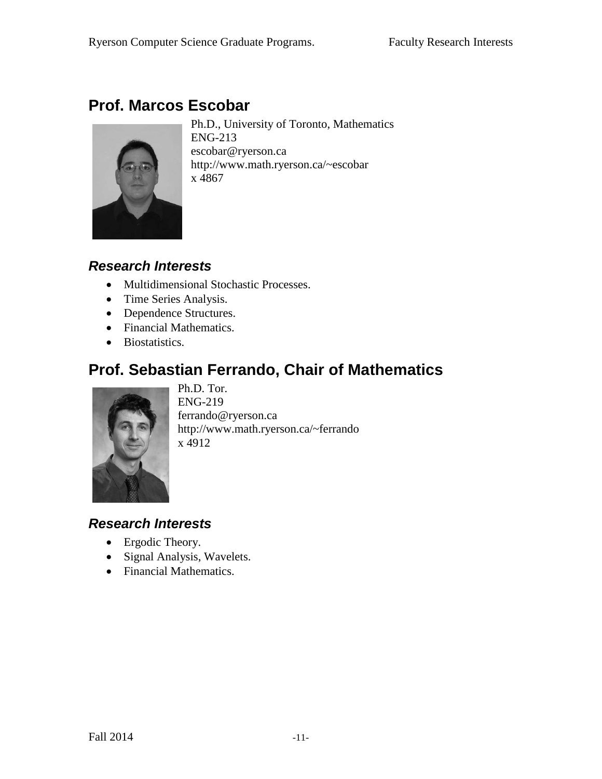# **Prof. Marcos Escobar**



Ph.D., University of Toronto, Mathematics ENG-213 escobar@ryerson.ca http://www.math.ryerson.ca/~escobar x 4867

#### *Research Interests*

- Multidimensional Stochastic Processes.
- Time Series Analysis.
- Dependence Structures.
- Financial Mathematics.
- Biostatistics.

# **Prof. Sebastian Ferrando, Chair of Mathematics**



Ph.D. Tor. ENG-219 ferrando@ryerson.ca http://www.math.ryerson.ca/~ferrando x 4912

- Ergodic Theory.
- Signal Analysis, Wavelets.
- Financial Mathematics.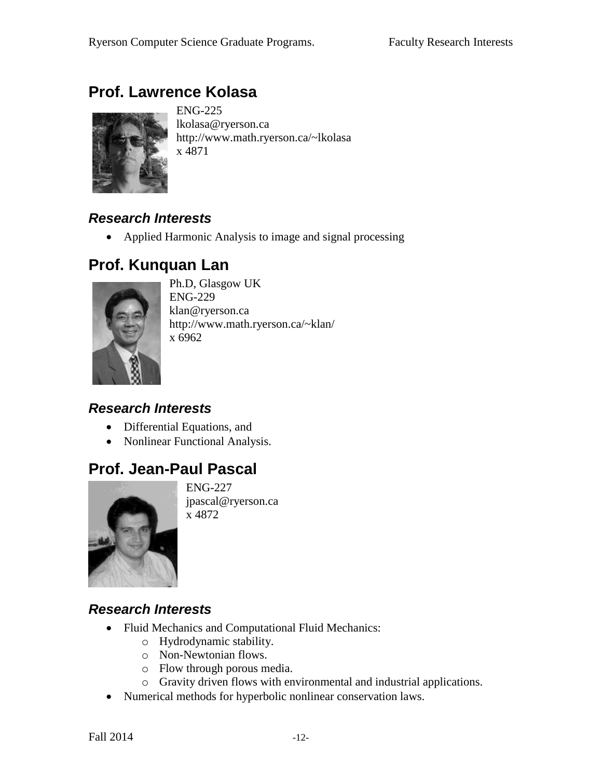# **Prof. Lawrence Kolasa**



ENG-225 lkolasa@ryerson.ca http://www.math.ryerson.ca/~lkolasa x 4871

### *Research Interests*

• Applied Harmonic Analysis to image and signal processing

### **Prof. Kunquan Lan**



Ph.D, Glasgow UK ENG-229 klan@ryerson.ca http://www.math.ryerson.ca/~klan/ x 6962

### *Research Interests*

- Differential Equations, and
- Nonlinear Functional Analysis.

## **Prof. Jean-Paul Pascal**



ENG-227 jpascal@ryerson.ca x 4872

- Fluid Mechanics and Computational Fluid Mechanics:
	- o Hydrodynamic stability.
	- o Non-Newtonian flows.
	- o Flow through porous media.
	- o Gravity driven flows with environmental and industrial applications.
- Numerical methods for hyperbolic nonlinear conservation laws.